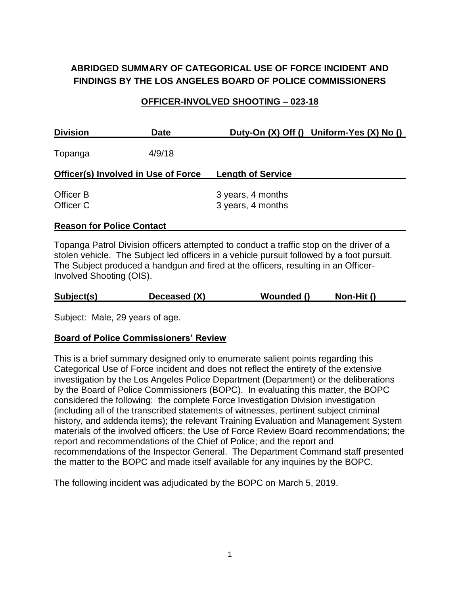# **ABRIDGED SUMMARY OF CATEGORICAL USE OF FORCE INCIDENT AND FINDINGS BY THE LOS ANGELES BOARD OF POLICE COMMISSIONERS**

### **OFFICER-INVOLVED SHOOTING – 023-18**

| <b>Division</b>                     | <b>Date</b> | Duty-On (X) Off () Uniform-Yes (X) No () |  |
|-------------------------------------|-------------|------------------------------------------|--|
| Topanga                             | 4/9/18      |                                          |  |
| Officer(s) Involved in Use of Force |             | <b>Length of Service</b>                 |  |
| Officer B                           |             | 3 years, 4 months                        |  |
| Officer C                           |             | 3 years, 4 months                        |  |
| .                                   |             |                                          |  |

## **Reason for Police Contact**

Topanga Patrol Division officers attempted to conduct a traffic stop on the driver of a stolen vehicle. The Subject led officers in a vehicle pursuit followed by a foot pursuit. The Subject produced a handgun and fired at the officers, resulting in an Officer-Involved Shooting (OIS).

|  | Subject(s) | Deceased (X) | Wounded () | Non-Hit () |
|--|------------|--------------|------------|------------|
|--|------------|--------------|------------|------------|

Subject: Male, 29 years of age.

#### **Board of Police Commissioners' Review**

This is a brief summary designed only to enumerate salient points regarding this Categorical Use of Force incident and does not reflect the entirety of the extensive investigation by the Los Angeles Police Department (Department) or the deliberations by the Board of Police Commissioners (BOPC). In evaluating this matter, the BOPC considered the following: the complete Force Investigation Division investigation (including all of the transcribed statements of witnesses, pertinent subject criminal history, and addenda items); the relevant Training Evaluation and Management System materials of the involved officers; the Use of Force Review Board recommendations; the report and recommendations of the Chief of Police; and the report and recommendations of the Inspector General. The Department Command staff presented the matter to the BOPC and made itself available for any inquiries by the BOPC.

The following incident was adjudicated by the BOPC on March 5, 2019.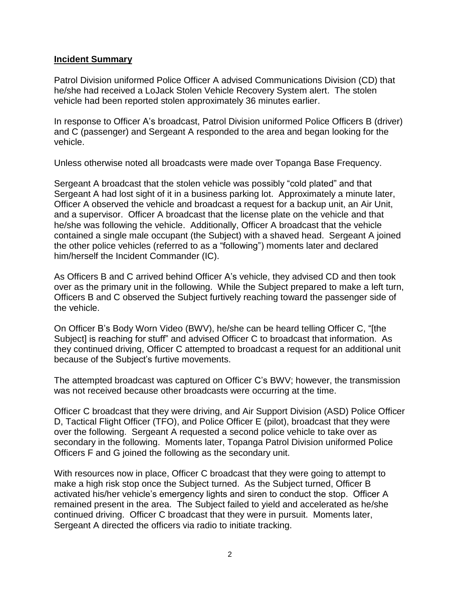#### **Incident Summary**

Patrol Division uniformed Police Officer A advised Communications Division (CD) that he/she had received a LoJack Stolen Vehicle Recovery System alert. The stolen vehicle had been reported stolen approximately 36 minutes earlier.

In response to Officer A's broadcast, Patrol Division uniformed Police Officers B (driver) and C (passenger) and Sergeant A responded to the area and began looking for the vehicle.

Unless otherwise noted all broadcasts were made over Topanga Base Frequency.

Sergeant A broadcast that the stolen vehicle was possibly "cold plated" and that Sergeant A had lost sight of it in a business parking lot. Approximately a minute later, Officer A observed the vehicle and broadcast a request for a backup unit, an Air Unit, and a supervisor. Officer A broadcast that the license plate on the vehicle and that he/she was following the vehicle. Additionally, Officer A broadcast that the vehicle contained a single male occupant (the Subject) with a shaved head. Sergeant A joined the other police vehicles (referred to as a "following") moments later and declared him/herself the Incident Commander (IC).

As Officers B and C arrived behind Officer A's vehicle, they advised CD and then took over as the primary unit in the following. While the Subject prepared to make a left turn, Officers B and C observed the Subject furtively reaching toward the passenger side of the vehicle.

On Officer B's Body Worn Video (BWV), he/she can be heard telling Officer C, "[the Subject] is reaching for stuff" and advised Officer C to broadcast that information. As they continued driving, Officer C attempted to broadcast a request for an additional unit because of the Subject's furtive movements.

The attempted broadcast was captured on Officer C's BWV; however, the transmission was not received because other broadcasts were occurring at the time.

Officer C broadcast that they were driving, and Air Support Division (ASD) Police Officer D, Tactical Flight Officer (TFO), and Police Officer E (pilot), broadcast that they were over the following. Sergeant A requested a second police vehicle to take over as secondary in the following. Moments later, Topanga Patrol Division uniformed Police Officers F and G joined the following as the secondary unit.

With resources now in place, Officer C broadcast that they were going to attempt to make a high risk stop once the Subject turned. As the Subject turned, Officer B activated his/her vehicle's emergency lights and siren to conduct the stop. Officer A remained present in the area. The Subject failed to yield and accelerated as he/she continued driving. Officer C broadcast that they were in pursuit. Moments later, Sergeant A directed the officers via radio to initiate tracking.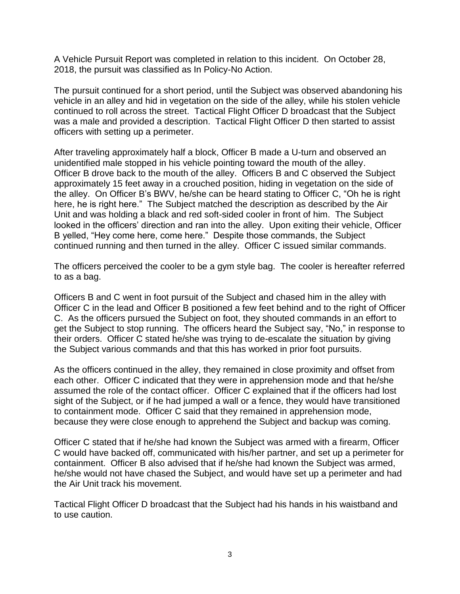A Vehicle Pursuit Report was completed in relation to this incident. On October 28, 2018, the pursuit was classified as In Policy-No Action.

The pursuit continued for a short period, until the Subject was observed abandoning his vehicle in an alley and hid in vegetation on the side of the alley, while his stolen vehicle continued to roll across the street. Tactical Flight Officer D broadcast that the Subject was a male and provided a description. Tactical Flight Officer D then started to assist officers with setting up a perimeter.

After traveling approximately half a block, Officer B made a U-turn and observed an unidentified male stopped in his vehicle pointing toward the mouth of the alley. Officer B drove back to the mouth of the alley. Officers B and C observed the Subject approximately 15 feet away in a crouched position, hiding in vegetation on the side of the alley. On Officer B's BWV, he/she can be heard stating to Officer C, "Oh he is right here, he is right here." The Subject matched the description as described by the Air Unit and was holding a black and red soft-sided cooler in front of him. The Subject looked in the officers' direction and ran into the alley. Upon exiting their vehicle, Officer B yelled, "Hey come here, come here." Despite those commands, the Subject continued running and then turned in the alley. Officer C issued similar commands.

The officers perceived the cooler to be a gym style bag. The cooler is hereafter referred to as a bag.

Officers B and C went in foot pursuit of the Subject and chased him in the alley with Officer C in the lead and Officer B positioned a few feet behind and to the right of Officer C. As the officers pursued the Subject on foot, they shouted commands in an effort to get the Subject to stop running. The officers heard the Subject say, "No," in response to their orders. Officer C stated he/she was trying to de-escalate the situation by giving the Subject various commands and that this has worked in prior foot pursuits.

As the officers continued in the alley, they remained in close proximity and offset from each other. Officer C indicated that they were in apprehension mode and that he/she assumed the role of the contact officer. Officer C explained that if the officers had lost sight of the Subject, or if he had jumped a wall or a fence, they would have transitioned to containment mode. Officer C said that they remained in apprehension mode, because they were close enough to apprehend the Subject and backup was coming.

Officer C stated that if he/she had known the Subject was armed with a firearm, Officer C would have backed off, communicated with his/her partner, and set up a perimeter for containment. Officer B also advised that if he/she had known the Subject was armed, he/she would not have chased the Subject, and would have set up a perimeter and had the Air Unit track his movement.

Tactical Flight Officer D broadcast that the Subject had his hands in his waistband and to use caution.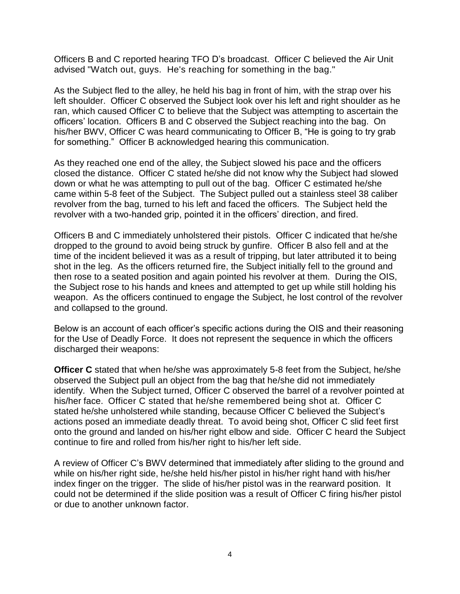Officers B and C reported hearing TFO D's broadcast.Officer C believed the Air Unit advised "Watch out, guys. He's reaching for something in the bag."

As the Subject fled to the alley, he held his bag in front of him, with the strap over his left shoulder. Officer C observed the Subject look over his left and right shoulder as he ran, which caused Officer C to believe that the Subject was attempting to ascertain the officers' location. Officers B and C observed the Subject reaching into the bag. On his/her BWV, Officer C was heard communicating to Officer B, "He is going to try grab for something."Officer B acknowledged hearing this communication.

As they reached one end of the alley, the Subject slowed his pace and the officers closed the distance. Officer C stated he/she did not know why the Subject had slowed down or what he was attempting to pull out of the bag. Officer C estimated he/she came within 5-8 feet of the Subject. The Subject pulled out a stainless steel 38 caliber revolver from the bag, turned to his left and faced the officers. The Subject held the revolver with a two-handed grip, pointed it in the officers' direction, and fired.

Officers B and C immediately unholstered their pistols. Officer C indicated that he/she dropped to the ground to avoid being struck by gunfire. Officer B also fell and at the time of the incident believed it was as a result of tripping, but later attributed it to being shot in the leg. As the officers returned fire, the Subject initially fell to the ground and then rose to a seated position and again pointed his revolver at them. During the OIS, the Subject rose to his hands and knees and attempted to get up while still holding his weapon. As the officers continued to engage the Subject, he lost control of the revolver and collapsed to the ground.

Below is an account of each officer's specific actions during the OIS and their reasoning for the Use of Deadly Force. It does not represent the sequence in which the officers discharged their weapons:

**Officer C** stated that when he/she was approximately 5-8 feet from the Subject, he/she observed the Subject pull an object from the bag that he/she did not immediately identify. When the Subject turned, Officer C observed the barrel of a revolver pointed at his/her face. Officer C stated that he/she remembered being shot at. Officer C stated he/she unholstered while standing, because Officer C believed the Subject's actions posed an immediate deadly threat. To avoid being shot, Officer C slid feet first onto the ground and landed on his/her right elbow and side. Officer C heard the Subject continue to fire and rolled from his/her right to his/her left side.

A review of Officer C's BWV determined that immediately after sliding to the ground and while on his/her right side, he/she held his/her pistol in his/her right hand with his/her index finger on the trigger. The slide of his/her pistol was in the rearward position. It could not be determined if the slide position was a result of Officer C firing his/her pistol or due to another unknown factor.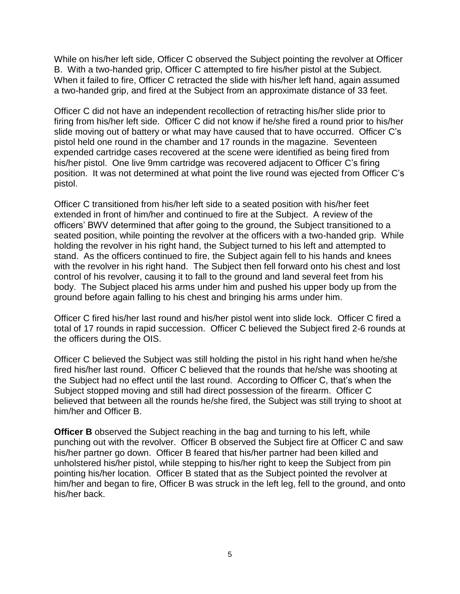While on his/her left side, Officer C observed the Subject pointing the revolver at Officer B. With a two-handed grip, Officer C attempted to fire his/her pistol at the Subject. When it failed to fire, Officer C retracted the slide with his/her left hand, again assumed a two-handed grip, and fired at the Subject from an approximate distance of 33 feet.

Officer C did not have an independent recollection of retracting his/her slide prior to firing from his/her left side. Officer C did not know if he/she fired a round prior to his/her slide moving out of battery or what may have caused that to have occurred. Officer C's pistol held one round in the chamber and 17 rounds in the magazine. Seventeen expended cartridge cases recovered at the scene were identified as being fired from his/her pistol. One live 9mm cartridge was recovered adjacent to Officer C's firing position. It was not determined at what point the live round was ejected from Officer C's pistol.

Officer C transitioned from his/her left side to a seated position with his/her feet extended in front of him/her and continued to fire at the Subject. A review of the officers' BWV determined that after going to the ground, the Subject transitioned to a seated position, while pointing the revolver at the officers with a two-handed grip. While holding the revolver in his right hand, the Subject turned to his left and attempted to stand. As the officers continued to fire, the Subject again fell to his hands and knees with the revolver in his right hand. The Subject then fell forward onto his chest and lost control of his revolver, causing it to fall to the ground and land several feet from his body. The Subject placed his arms under him and pushed his upper body up from the ground before again falling to his chest and bringing his arms under him.

Officer C fired his/her last round and his/her pistol went into slide lock. Officer C fired a total of 17 rounds in rapid succession. Officer C believed the Subject fired 2-6 rounds at the officers during the OIS.

Officer C believed the Subject was still holding the pistol in his right hand when he/she fired his/her last round. Officer C believed that the rounds that he/she was shooting at the Subject had no effect until the last round. According to Officer C, that's when the Subject stopped moving and still had direct possession of the firearm. Officer C believed that between all the rounds he/she fired, the Subject was still trying to shoot at him/her and Officer B.

**Officer B** observed the Subject reaching in the bag and turning to his left, while punching out with the revolver. Officer B observed the Subject fire at Officer C and saw his/her partner go down. Officer B feared that his/her partner had been killed and unholstered his/her pistol, while stepping to his/her right to keep the Subject from pin pointing his/her location. Officer B stated that as the Subject pointed the revolver at him/her and began to fire, Officer B was struck in the left leg, fell to the ground, and onto his/her back.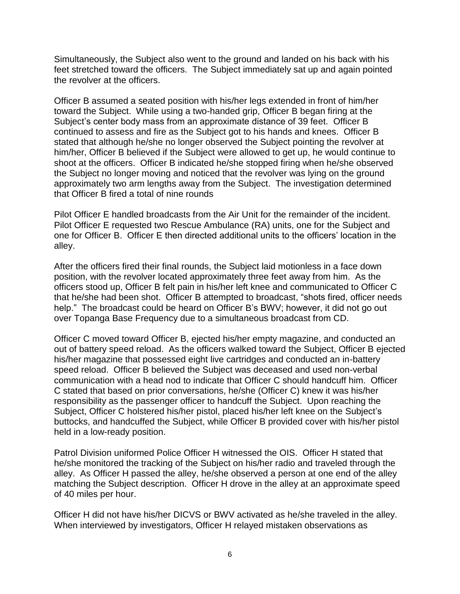Simultaneously, the Subject also went to the ground and landed on his back with his feet stretched toward the officers. The Subject immediately sat up and again pointed the revolver at the officers.

Officer B assumed a seated position with his/her legs extended in front of him/her toward the Subject. While using a two-handed grip, Officer B began firing at the Subject's center body mass from an approximate distance of 39 feet. Officer B continued to assess and fire as the Subject got to his hands and knees. Officer B stated that although he/she no longer observed the Subject pointing the revolver at him/her, Officer B believed if the Subject were allowed to get up, he would continue to shoot at the officers. Officer B indicated he/she stopped firing when he/she observed the Subject no longer moving and noticed that the revolver was lying on the ground approximately two arm lengths away from the Subject. The investigation determined that Officer B fired a total of nine rounds

Pilot Officer E handled broadcasts from the Air Unit for the remainder of the incident. Pilot Officer E requested two Rescue Ambulance (RA) units, one for the Subject and one for Officer B. Officer E then directed additional units to the officers' location in the alley.

After the officers fired their final rounds, the Subject laid motionless in a face down position, with the revolver located approximately three feet away from him. As the officers stood up, Officer B felt pain in his/her left knee and communicated to Officer C that he/she had been shot. Officer B attempted to broadcast, "shots fired, officer needs help." The broadcast could be heard on Officer B's BWV; however, it did not go out over Topanga Base Frequency due to a simultaneous broadcast from CD.

Officer C moved toward Officer B, ejected his/her empty magazine, and conducted an out of battery speed reload. As the officers walked toward the Subject, Officer B ejected his/her magazine that possessed eight live cartridges and conducted an in-battery speed reload. Officer B believed the Subject was deceased and used non-verbal communication with a head nod to indicate that Officer C should handcuff him. Officer C stated that based on prior conversations, he/she (Officer C) knew it was his/her responsibility as the passenger officer to handcuff the Subject. Upon reaching the Subject, Officer C holstered his/her pistol, placed his/her left knee on the Subject's buttocks, and handcuffed the Subject, while Officer B provided cover with his/her pistol held in a low-ready position.

Patrol Division uniformed Police Officer H witnessed the OIS. Officer H stated that he/she monitored the tracking of the Subject on his/her radio and traveled through the alley. As Officer H passed the alley, he/she observed a person at one end of the alley matching the Subject description. Officer H drove in the alley at an approximate speed of 40 miles per hour.

Officer H did not have his/her DICVS or BWV activated as he/she traveled in the alley. When interviewed by investigators, Officer H relayed mistaken observations as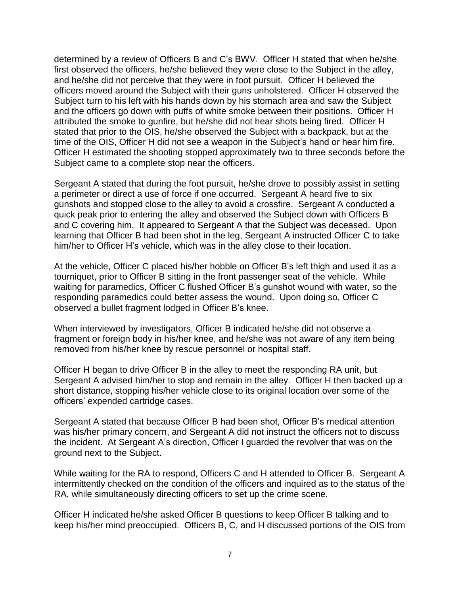determined by a review of Officers B and C's BWV. Officer H stated that when he/she first observed the officers, he/she believed they were close to the Subject in the alley, and he/she did not perceive that they were in foot pursuit. Officer H believed the officers moved around the Subject with their guns unholstered. Officer H observed the Subject turn to his left with his hands down by his stomach area and saw the Subject and the officers go down with puffs of white smoke between their positions. Officer H attributed the smoke to gunfire, but he/she did not hear shots being fired. Officer H stated that prior to the OIS, he/she observed the Subject with a backpack, but at the time of the OIS, Officer H did not see a weapon in the Subject's hand or hear him fire. Officer H estimated the shooting stopped approximately two to three seconds before the Subject came to a complete stop near the officers.

Sergeant A stated that during the foot pursuit, he/she drove to possibly assist in setting a perimeter or direct a use of force if one occurred. Sergeant A heard five to six gunshots and stopped close to the alley to avoid a crossfire. Sergeant A conducted a quick peak prior to entering the alley and observed the Subject down with Officers B and C covering him. It appeared to Sergeant A that the Subject was deceased. Upon learning that Officer B had been shot in the leg, Sergeant A instructed Officer C to take him/her to Officer H's vehicle, which was in the alley close to their location.

At the vehicle, Officer C placed his/her hobble on Officer B's left thigh and used it as a tourniquet, prior to Officer B sitting in the front passenger seat of the vehicle. While waiting for paramedics, Officer C flushed Officer B's gunshot wound with water, so the responding paramedics could better assess the wound. Upon doing so, Officer C observed a bullet fragment lodged in Officer B's knee.

When interviewed by investigators, Officer B indicated he/she did not observe a fragment or foreign body in his/her knee, and he/she was not aware of any item being removed from his/her knee by rescue personnel or hospital staff.

Officer H began to drive Officer B in the alley to meet the responding RA unit, but Sergeant A advised him/her to stop and remain in the alley. Officer H then backed up a short distance, stopping his/her vehicle close to its original location over some of the officers' expended cartridge cases.

Sergeant A stated that because Officer B had been shot, Officer B's medical attention was his/her primary concern, and Sergeant A did not instruct the officers not to discuss the incident. At Sergeant A's direction, Officer I guarded the revolver that was on the ground next to the Subject.

While waiting for the RA to respond, Officers C and H attended to Officer B. Sergeant A intermittently checked on the condition of the officers and inquired as to the status of the RA, while simultaneously directing officers to set up the crime scene.

Officer H indicated he/she asked Officer B questions to keep Officer B talking and to keep his/her mind preoccupied. Officers B, C, and H discussed portions of the OIS from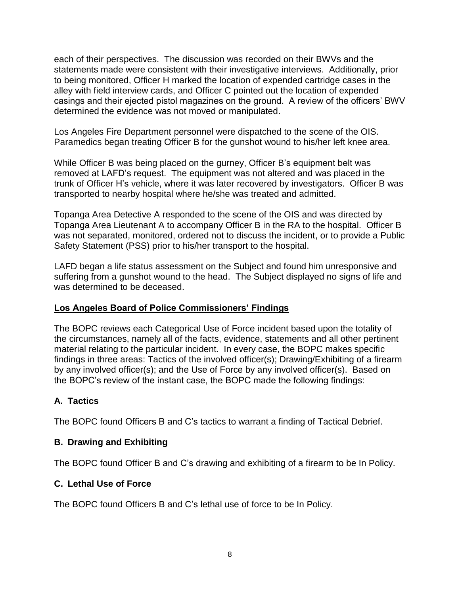each of their perspectives. The discussion was recorded on their BWVs and the statements made were consistent with their investigative interviews. Additionally, prior to being monitored, Officer H marked the location of expended cartridge cases in the alley with field interview cards, and Officer C pointed out the location of expended casings and their ejected pistol magazines on the ground. A review of the officers' BWV determined the evidence was not moved or manipulated.

Los Angeles Fire Department personnel were dispatched to the scene of the OIS. Paramedics began treating Officer B for the gunshot wound to his/her left knee area.

While Officer B was being placed on the gurney, Officer B's equipment belt was removed at LAFD's request. The equipment was not altered and was placed in the trunk of Officer H's vehicle, where it was later recovered by investigators. Officer B was transported to nearby hospital where he/she was treated and admitted.

Topanga Area Detective A responded to the scene of the OIS and was directed by Topanga Area Lieutenant A to accompany Officer B in the RA to the hospital. Officer B was not separated, monitored, ordered not to discuss the incident, or to provide a Public Safety Statement (PSS) prior to his/her transport to the hospital.

LAFD began a life status assessment on the Subject and found him unresponsive and suffering from a gunshot wound to the head. The Subject displayed no signs of life and was determined to be deceased.

## **Los Angeles Board of Police Commissioners' Findings**

The BOPC reviews each Categorical Use of Force incident based upon the totality of the circumstances, namely all of the facts, evidence, statements and all other pertinent material relating to the particular incident. In every case, the BOPC makes specific findings in three areas: Tactics of the involved officer(s); Drawing/Exhibiting of a firearm by any involved officer(s); and the Use of Force by any involved officer(s). Based on the BOPC's review of the instant case, the BOPC made the following findings:

# **A. Tactics**

The BOPC found Officers B and C's tactics to warrant a finding of Tactical Debrief.

## **B. Drawing and Exhibiting**

The BOPC found Officer B and C's drawing and exhibiting of a firearm to be In Policy.

## **C. Lethal Use of Force**

The BOPC found Officers B and C's lethal use of force to be In Policy.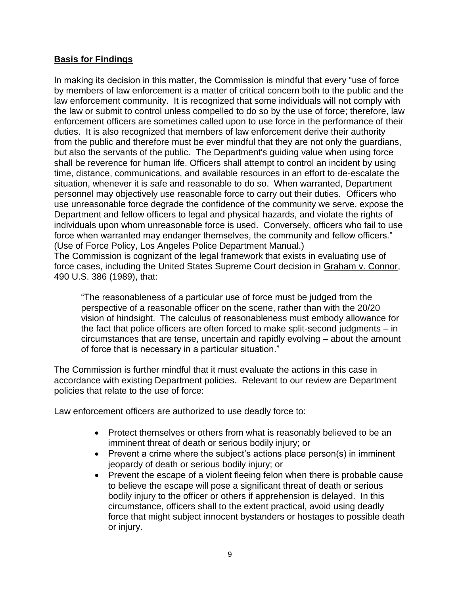### **Basis for Findings**

In making its decision in this matter, the Commission is mindful that every "use of force by members of law enforcement is a matter of critical concern both to the public and the law enforcement community. It is recognized that some individuals will not comply with the law or submit to control unless compelled to do so by the use of force; therefore, law enforcement officers are sometimes called upon to use force in the performance of their duties. It is also recognized that members of law enforcement derive their authority from the public and therefore must be ever mindful that they are not only the guardians, but also the servants of the public. The Department's guiding value when using force shall be reverence for human life. Officers shall attempt to control an incident by using time, distance, communications, and available resources in an effort to de-escalate the situation, whenever it is safe and reasonable to do so. When warranted, Department personnel may objectively use reasonable force to carry out their duties. Officers who use unreasonable force degrade the confidence of the community we serve, expose the Department and fellow officers to legal and physical hazards, and violate the rights of individuals upon whom unreasonable force is used. Conversely, officers who fail to use force when warranted may endanger themselves, the community and fellow officers." (Use of Force Policy, Los Angeles Police Department Manual.)

The Commission is cognizant of the legal framework that exists in evaluating use of force cases, including the United States Supreme Court decision in Graham v. Connor, 490 U.S. 386 (1989), that:

"The reasonableness of a particular use of force must be judged from the perspective of a reasonable officer on the scene, rather than with the 20/20 vision of hindsight. The calculus of reasonableness must embody allowance for the fact that police officers are often forced to make split-second judgments – in circumstances that are tense, uncertain and rapidly evolving – about the amount of force that is necessary in a particular situation."

The Commission is further mindful that it must evaluate the actions in this case in accordance with existing Department policies. Relevant to our review are Department policies that relate to the use of force:

Law enforcement officers are authorized to use deadly force to:

- Protect themselves or others from what is reasonably believed to be an imminent threat of death or serious bodily injury; or
- Prevent a crime where the subject's actions place person(s) in imminent jeopardy of death or serious bodily injury; or
- Prevent the escape of a violent fleeing felon when there is probable cause to believe the escape will pose a significant threat of death or serious bodily injury to the officer or others if apprehension is delayed. In this circumstance, officers shall to the extent practical, avoid using deadly force that might subject innocent bystanders or hostages to possible death or injury.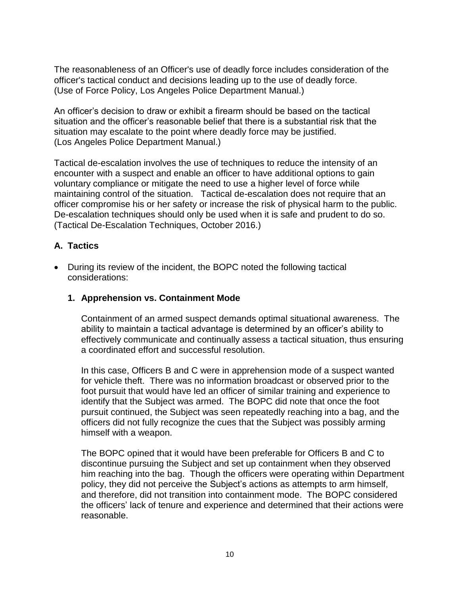The reasonableness of an Officer's use of deadly force includes consideration of the officer's tactical conduct and decisions leading up to the use of deadly force. (Use of Force Policy, Los Angeles Police Department Manual.)

An officer's decision to draw or exhibit a firearm should be based on the tactical situation and the officer's reasonable belief that there is a substantial risk that the situation may escalate to the point where deadly force may be justified. (Los Angeles Police Department Manual.)

Tactical de-escalation involves the use of techniques to reduce the intensity of an encounter with a suspect and enable an officer to have additional options to gain voluntary compliance or mitigate the need to use a higher level of force while maintaining control of the situation. Tactical de-escalation does not require that an officer compromise his or her safety or increase the risk of physical harm to the public. De-escalation techniques should only be used when it is safe and prudent to do so. (Tactical De-Escalation Techniques, October 2016.)

## **A. Tactics**

• During its review of the incident, the BOPC noted the following tactical considerations:

## **1. Apprehension vs. Containment Mode**

Containment of an armed suspect demands optimal situational awareness. The ability to maintain a tactical advantage is determined by an officer's ability to effectively communicate and continually assess a tactical situation, thus ensuring a coordinated effort and successful resolution.

In this case, Officers B and C were in apprehension mode of a suspect wanted for vehicle theft. There was no information broadcast or observed prior to the foot pursuit that would have led an officer of similar training and experience to identify that the Subject was armed. The BOPC did note that once the foot pursuit continued, the Subject was seen repeatedly reaching into a bag, and the officers did not fully recognize the cues that the Subject was possibly arming himself with a weapon.

The BOPC opined that it would have been preferable for Officers B and C to discontinue pursuing the Subject and set up containment when they observed him reaching into the bag. Though the officers were operating within Department policy, they did not perceive the Subject's actions as attempts to arm himself, and therefore, did not transition into containment mode. The BOPC considered the officers' lack of tenure and experience and determined that their actions were reasonable.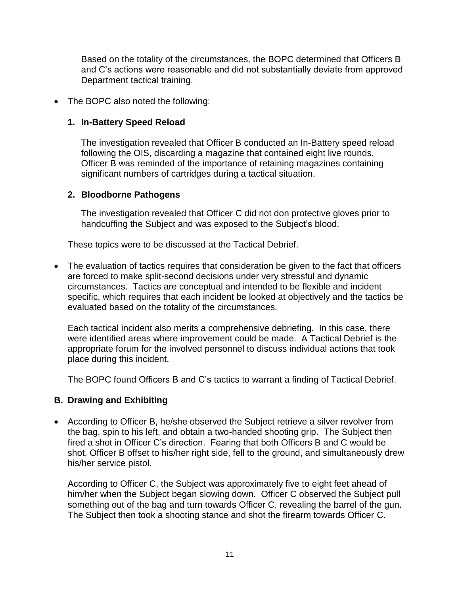Based on the totality of the circumstances, the BOPC determined that Officers B and C's actions were reasonable and did not substantially deviate from approved Department tactical training.

### • The BOPC also noted the following:

#### **1. In-Battery Speed Reload**

The investigation revealed that Officer B conducted an In-Battery speed reload following the OIS, discarding a magazine that contained eight live rounds. Officer B was reminded of the importance of retaining magazines containing significant numbers of cartridges during a tactical situation.

### **2. Bloodborne Pathogens**

The investigation revealed that Officer C did not don protective gloves prior to handcuffing the Subject and was exposed to the Subject's blood.

These topics were to be discussed at the Tactical Debrief.

• The evaluation of tactics requires that consideration be given to the fact that officers are forced to make split-second decisions under very stressful and dynamic circumstances. Tactics are conceptual and intended to be flexible and incident specific, which requires that each incident be looked at objectively and the tactics be evaluated based on the totality of the circumstances.

Each tactical incident also merits a comprehensive debriefing. In this case, there were identified areas where improvement could be made. A Tactical Debrief is the appropriate forum for the involved personnel to discuss individual actions that took place during this incident.

The BOPC found Officers B and C's tactics to warrant a finding of Tactical Debrief.

## **B. Drawing and Exhibiting**

• According to Officer B, he/she observed the Subject retrieve a silver revolver from the bag, spin to his left, and obtain a two-handed shooting grip. The Subject then fired a shot in Officer C's direction. Fearing that both Officers B and C would be shot, Officer B offset to his/her right side, fell to the ground, and simultaneously drew his/her service pistol.

According to Officer C, the Subject was approximately five to eight feet ahead of him/her when the Subject began slowing down. Officer C observed the Subject pull something out of the bag and turn towards Officer C, revealing the barrel of the gun. The Subject then took a shooting stance and shot the firearm towards Officer C.